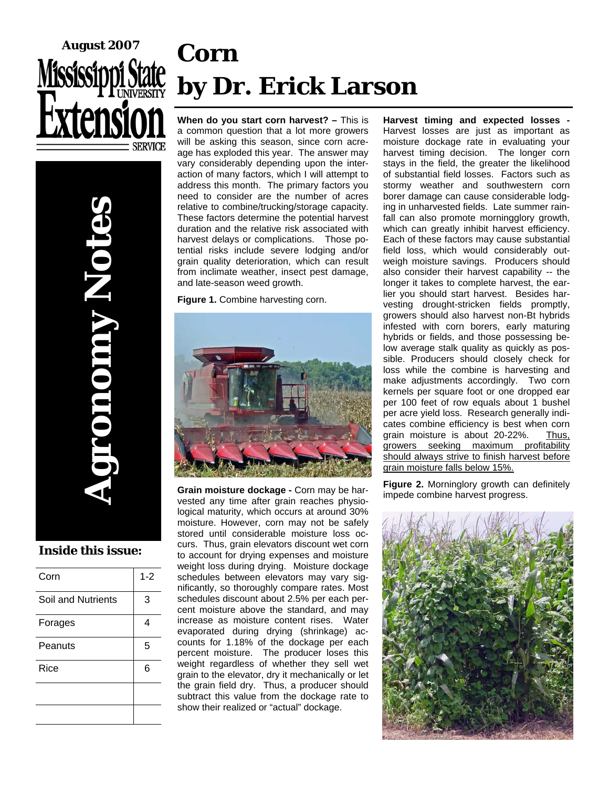### **When do you start corn harvest? –** This is **Corn by Dr. Erick Larson August 2007**

a common question that a lot more growers will be asking this season, since corn acreage has exploded this year. The answer may vary considerably depending upon the interaction of many factors, which I will attempt to address this month. The primary factors you need to consider are the number of acres relative to combine/trucking/storage capacity. These factors determine the potential harvest duration and the relative risk associated with harvest delays or complications. Those potential risks include severe lodging and/or grain quality deterioration, which can result from inclimate weather, insect pest damage, and late-season weed growth.

Figure 1. Combine harvesting corn.



**Grain moisture dockage -** Corn may be harvested any time after grain reaches physiological maturity, which occurs at around 30% moisture. However, corn may not be safely stored until considerable moisture loss occurs. Thus, grain elevators discount wet corn to account for drying expenses and moisture weight loss during drying. Moisture dockage schedules between elevators may vary significantly, so thoroughly compare rates. Most schedules discount about 2.5% per each percent moisture above the standard, and may increase as moisture content rises. Water evaporated during drying (shrinkage) accounts for 1.18% of the dockage per each percent moisture. The producer loses this weight regardless of whether they sell wet grain to the elevator, dry it mechanically or let the grain field dry. Thus, a producer should subtract this value from the dockage rate to show their realized or "actual" dockage.

**Harvest timing and expected losses -**  Harvest losses are just as important as moisture dockage rate in evaluating your harvest timing decision. The longer corn stays in the field, the greater the likelihood of substantial field losses. Factors such as stormy weather and southwestern corn borer damage can cause considerable lodging in unharvested fields. Late summer rainfall can also promote morningglory growth, which can greatly inhibit harvest efficiency. Each of these factors may cause substantial field loss, which would considerably outweigh moisture savings. Producers should also consider their harvest capability -- the longer it takes to complete harvest, the earlier you should start harvest. Besides harvesting drought-stricken fields promptly, growers should also harvest non-Bt hybrids infested with corn borers, early maturing hybrids or fields, and those possessing below average stalk quality as quickly as possible. Producers should closely check for loss while the combine is harvesting and make adjustments accordingly. Two corn kernels per square foot or one dropped ear per 100 feet of row equals about 1 bushel per acre yield loss. Research generally indicates combine efficiency is best when corn grain moisture is about 20-22%. Thus, growers seeking maximum profitability should always strive to finish harvest before grain moisture falls below 15%.

**Figure 2.** Morninglory growth can definitely impede combine harvest progress.



**Agronomy Notes** 

### **Inside this issue:**

**DIODINY NOTO** 

| Corn               | $1 - 2$ |
|--------------------|---------|
| Soil and Nutrients | 3       |
| Forages            | 4       |
| Peanuts            | 5       |
| Rice               | 6       |
|                    |         |
|                    |         |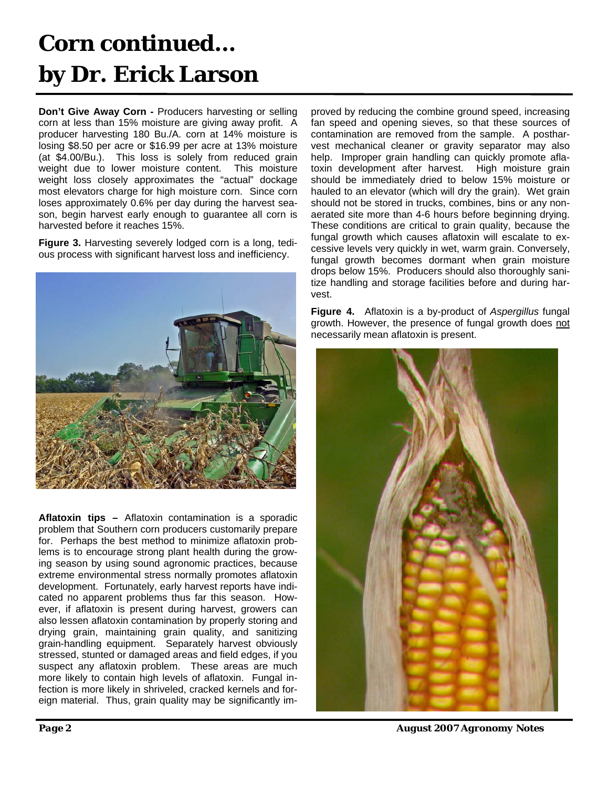### **Corn continued… by Dr. Erick Larson**

**Don't Give Away Corn -** Producers harvesting or selling corn at less than 15% moisture are giving away profit. A producer harvesting 180 Bu./A. corn at 14% moisture is losing \$8.50 per acre or \$16.99 per acre at 13% moisture (at \$4.00/Bu.). This loss is solely from reduced grain weight due to lower moisture content. This moisture weight loss closely approximates the "actual" dockage most elevators charge for high moisture corn. Since corn loses approximately 0.6% per day during the harvest season, begin harvest early enough to guarantee all corn is harvested before it reaches 15%.

**Figure 3.** Harvesting severely lodged corn is a long, tedious process with significant harvest loss and inefficiency.



**Aflatoxin tips –** Aflatoxin contamination is a sporadic problem that Southern corn producers customarily prepare for. Perhaps the best method to minimize aflatoxin problems is to encourage strong plant health during the growing season by using sound agronomic practices, because extreme environmental stress normally promotes aflatoxin development. Fortunately, early harvest reports have indicated no apparent problems thus far this season. However, if aflatoxin is present during harvest, growers can also lessen aflatoxin contamination by properly storing and drying grain, maintaining grain quality, and sanitizing grain-handling equipment. Separately harvest obviously stressed, stunted or damaged areas and field edges, if you suspect any aflatoxin problem. These areas are much more likely to contain high levels of aflatoxin. Fungal infection is more likely in shriveled, cracked kernels and foreign material. Thus, grain quality may be significantly improved by reducing the combine ground speed, increasing fan speed and opening sieves, so that these sources of contamination are removed from the sample. A postharvest mechanical cleaner or gravity separator may also help. Improper grain handling can quickly promote aflatoxin development after harvest. High moisture grain should be immediately dried to below 15% moisture or hauled to an elevator (which will dry the grain). Wet grain should not be stored in trucks, combines, bins or any nonaerated site more than 4-6 hours before beginning drying. These conditions are critical to grain quality, because the fungal growth which causes aflatoxin will escalate to excessive levels very quickly in wet, warm grain. Conversely, fungal growth becomes dormant when grain moisture drops below 15%. Producers should also thoroughly sanitize handling and storage facilities before and during harvest.

**Figure 4.** Aflatoxin is a by-product of *Aspergillus* fungal growth. However, the presence of fungal growth does not necessarily mean aflatoxin is present.



*Page 2 August 2007 Agronomy Notes*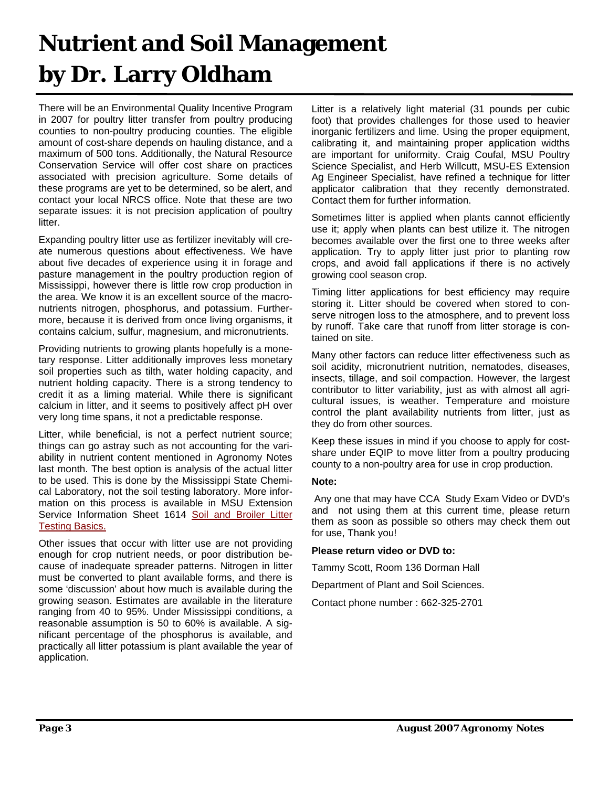### **Nutrient and Soil Management by Dr. Larry Oldham**

There will be an Environmental Quality Incentive Program in 2007 for poultry litter transfer from poultry producing counties to non-poultry producing counties. The eligible amount of cost-share depends on hauling distance, and a maximum of 500 tons. Additionally, the Natural Resource Conservation Service will offer cost share on practices associated with precision agriculture. Some details of these programs are yet to be determined, so be alert, and contact your local NRCS office. Note that these are two separate issues: it is not precision application of poultry litter.

Expanding poultry litter use as fertilizer inevitably will create numerous questions about effectiveness. We have about five decades of experience using it in forage and pasture management in the poultry production region of Mississippi, however there is little row crop production in the area. We know it is an excellent source of the macronutrients nitrogen, phosphorus, and potassium. Furthermore, because it is derived from once living organisms, it contains calcium, sulfur, magnesium, and micronutrients.

Providing nutrients to growing plants hopefully is a monetary response. Litter additionally improves less monetary soil properties such as tilth, water holding capacity, and nutrient holding capacity. There is a strong tendency to credit it as a liming material. While there is significant calcium in litter, and it seems to positively affect pH over very long time spans, it not a predictable response.

Litter, while beneficial, is not a perfect nutrient source; things can go astray such as not accounting for the variability in nutrient content mentioned in Agronomy Notes last month. The best option is analysis of the actual litter to be used. This is done by the Mississippi State Chemical Laboratory, not the soil testing laboratory. More information on this process is available in MSU Extension Service Information Sheet 1614 Soil and Broiler Litter Testing Basics.

Other issues that occur with litter use are not providing enough for crop nutrient needs, or poor distribution because of inadequate spreader patterns. Nitrogen in litter must be converted to plant available forms, and there is some 'discussion' about how much is available during the growing season. Estimates are available in the literature ranging from 40 to 95%. Under Mississippi conditions, a reasonable assumption is 50 to 60% is available. A significant percentage of the phosphorus is available, and practically all litter potassium is plant available the year of application.

Litter is a relatively light material (31 pounds per cubic foot) that provides challenges for those used to heavier inorganic fertilizers and lime. Using the proper equipment, calibrating it, and maintaining proper application widths are important for uniformity. Craig Coufal, MSU Poultry Science Specialist, and Herb Willcutt, MSU-ES Extension Ag Engineer Specialist, have refined a technique for litter applicator calibration that they recently demonstrated. Contact them for further information.

Sometimes litter is applied when plants cannot efficiently use it; apply when plants can best utilize it. The nitrogen becomes available over the first one to three weeks after application. Try to apply litter just prior to planting row crops, and avoid fall applications if there is no actively growing cool season crop.

Timing litter applications for best efficiency may require storing it. Litter should be covered when stored to conserve nitrogen loss to the atmosphere, and to prevent loss by runoff. Take care that runoff from litter storage is contained on site.

Many other factors can reduce litter effectiveness such as soil acidity, micronutrient nutrition, nematodes, diseases, insects, tillage, and soil compaction. However, the largest contributor to litter variability, just as with almost all agricultural issues, is weather. Temperature and moisture control the plant availability nutrients from litter, just as they do from other sources.

Keep these issues in mind if you choose to apply for costshare under EQIP to move litter from a poultry producing county to a non-poultry area for use in crop production.

#### **Note:**

Any one that may have CCA Study Exam Video or DVD's and not using them at this current time, please return them as soon as possible so others may check them out for use, Thank you!

#### **Please return video or DVD to:**

Tammy Scott, Room 136 Dorman Hall

Department of Plant and Soil Sciences.

Contact phone number : 662-325-2701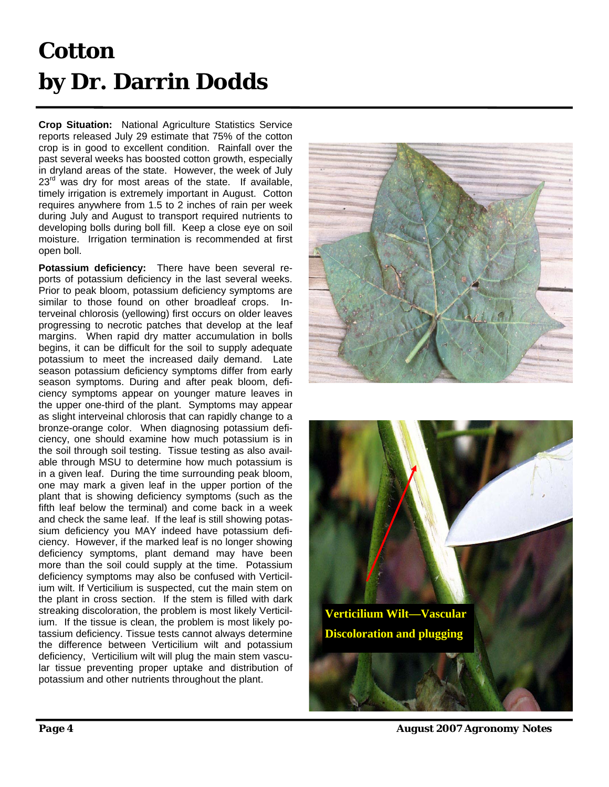## **Cotton by Dr. Darrin Dodds**

**Crop Situation:** National Agriculture Statistics Service reports released July 29 estimate that 75% of the cotton crop is in good to excellent condition. Rainfall over the past several weeks has boosted cotton growth, especially in dryland areas of the state. However, the week of July  $23<sup>rd</sup>$  was dry for most areas of the state. If available, timely irrigation is extremely important in August. Cotton requires anywhere from 1.5 to 2 inches of rain per week during July and August to transport required nutrients to developing bolls during boll fill. Keep a close eye on soil moisture. Irrigation termination is recommended at first open boll.

**Potassium deficiency:** There have been several reports of potassium deficiency in the last several weeks. Prior to peak bloom, potassium deficiency symptoms are similar to those found on other broadleaf crops. Interveinal chlorosis (yellowing) first occurs on older leaves progressing to necrotic patches that develop at the leaf margins. When rapid dry matter accumulation in bolls begins, it can be difficult for the soil to supply adequate potassium to meet the increased daily demand. Late season potassium deficiency symptoms differ from early season symptoms. During and after peak bloom, deficiency symptoms appear on younger mature leaves in the upper one-third of the plant. Symptoms may appear as slight interveinal chlorosis that can rapidly change to a bronze-orange color. When diagnosing potassium deficiency, one should examine how much potassium is in the soil through soil testing. Tissue testing as also available through MSU to determine how much potassium is in a given leaf. During the time surrounding peak bloom, one may mark a given leaf in the upper portion of the plant that is showing deficiency symptoms (such as the fifth leaf below the terminal) and come back in a week and check the same leaf. If the leaf is still showing potassium deficiency you MAY indeed have potassium deficiency. However, if the marked leaf is no longer showing deficiency symptoms, plant demand may have been more than the soil could supply at the time. Potassium deficiency symptoms may also be confused with Verticilium wilt. If Verticilium is suspected, cut the main stem on the plant in cross section. If the stem is filled with dark streaking discoloration, the problem is most likely Verticilium. If the tissue is clean, the problem is most likely potassium deficiency. Tissue tests cannot always determine the difference between Verticilium wilt and potassium deficiency, Verticilium wilt will plug the main stem vascular tissue preventing proper uptake and distribution of potassium and other nutrients throughout the plant.





*Page 4 August 2007 Agronomy Notes*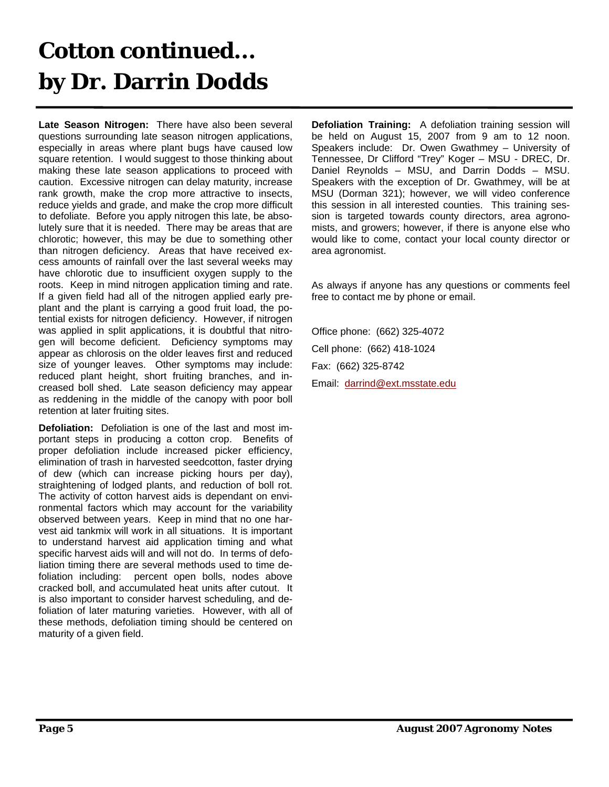### **Cotton continued... by Dr. Darrin Dodds**

**Late Season Nitrogen:** There have also been several questions surrounding late season nitrogen applications, especially in areas where plant bugs have caused low square retention. I would suggest to those thinking about making these late season applications to proceed with caution. Excessive nitrogen can delay maturity, increase rank growth, make the crop more attractive to insects, reduce yields and grade, and make the crop more difficult to defoliate. Before you apply nitrogen this late, be absolutely sure that it is needed. There may be areas that are chlorotic; however, this may be due to something other than nitrogen deficiency. Areas that have received excess amounts of rainfall over the last several weeks may have chlorotic due to insufficient oxygen supply to the roots. Keep in mind nitrogen application timing and rate. If a given field had all of the nitrogen applied early preplant and the plant is carrying a good fruit load, the potential exists for nitrogen deficiency. However, if nitrogen was applied in split applications, it is doubtful that nitrogen will become deficient. Deficiency symptoms may appear as chlorosis on the older leaves first and reduced size of younger leaves. Other symptoms may include: reduced plant height, short fruiting branches, and increased boll shed. Late season deficiency may appear as reddening in the middle of the canopy with poor boll retention at later fruiting sites.

**Defoliation:** Defoliation is one of the last and most important steps in producing a cotton crop. Benefits of proper defoliation include increased picker efficiency, elimination of trash in harvested seedcotton, faster drying of dew (which can increase picking hours per day), straightening of lodged plants, and reduction of boll rot. The activity of cotton harvest aids is dependant on environmental factors which may account for the variability observed between years. Keep in mind that no one harvest aid tankmix will work in all situations. It is important to understand harvest aid application timing and what specific harvest aids will and will not do. In terms of defoliation timing there are several methods used to time defoliation including: percent open bolls, nodes above cracked boll, and accumulated heat units after cutout. It is also important to consider harvest scheduling, and defoliation of later maturing varieties. However, with all of these methods, defoliation timing should be centered on maturity of a given field.

**Defoliation Training:** A defoliation training session will be held on August 15, 2007 from 9 am to 12 noon. Speakers include: Dr. Owen Gwathmey – University of Tennessee, Dr Clifford "Trey" Koger – MSU - DREC, Dr. Daniel Reynolds – MSU, and Darrin Dodds – MSU. Speakers with the exception of Dr. Gwathmey, will be at MSU (Dorman 321); however, we will video conference this session in all interested counties. This training session is targeted towards county directors, area agronomists, and growers; however, if there is anyone else who would like to come, contact your local county director or area agronomist.

As always if anyone has any questions or comments feel free to contact me by phone or email.

Office phone: (662) 325-4072 Cell phone: (662) 418-1024 Fax: (662) 325-8742 Email: darrind@ext.msstate.edu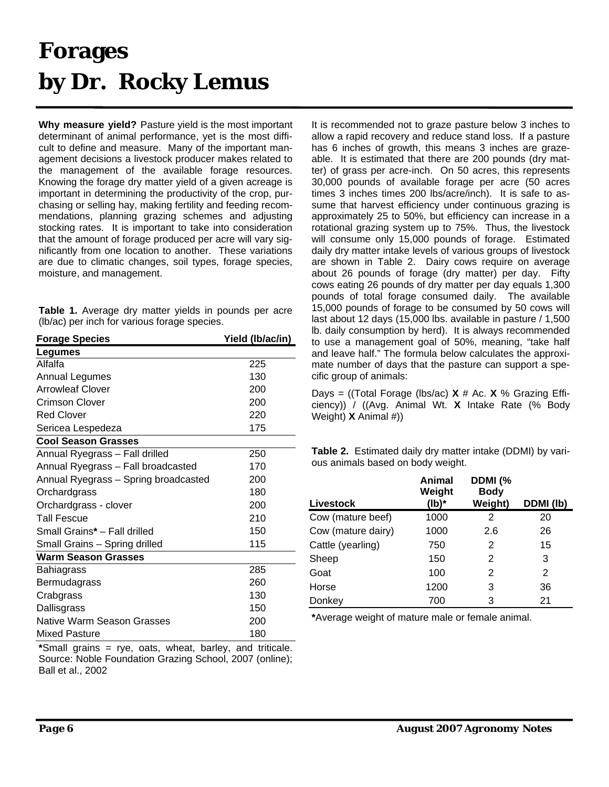### **Forages by Dr. Rocky Lemus**

**Why measure yield?** Pasture yield is the most important determinant of animal performance, yet is the most difficult to define and measure. Many of the important management decisions a livestock producer makes related to the management of the available forage resources. Knowing the forage dry matter yield of a given acreage is important in determining the productivity of the crop, purchasing or selling hay, making fertility and feeding recommendations, planning grazing schemes and adjusting stocking rates. It is important to take into consideration that the amount of forage produced per acre will vary significantly from one location to another. These variations are due to climatic changes, soil types, forage species, moisture, and management.

**Table 1.** Average dry matter yields in pounds per acre (lb/ac) per inch for various forage species.

| <b>Forage Species</b>                | Yield (Ib/ac/in) |
|--------------------------------------|------------------|
| Legumes                              |                  |
| Alfalfa                              | 225              |
| <b>Annual Legumes</b>                | 130              |
| <b>Arrowleaf Clover</b>              | 200              |
| Crimson Clover                       | 200              |
| <b>Red Clover</b>                    | 220              |
| Sericea Lespedeza                    | 175              |
| <b>Cool Season Grasses</b>           |                  |
| Annual Ryegrass - Fall drilled       | 250              |
| Annual Ryegrass - Fall broadcasted   | 170              |
| Annual Ryegrass - Spring broadcasted | 200              |
| Orchardgrass                         | 180              |
| Orchardgrass - clover                | 200              |
| <b>Tall Fescue</b>                   | 210              |
| Small Grains* - Fall drilled         | 150              |
| Small Grains - Spring drilled        | 115              |
| <b>Warm Season Grasses</b>           |                  |
| Bahiagrass                           | 285              |
| Bermudagrass                         | 260              |
| Crabgrass                            | 130              |
| Dallisgrass                          | 150              |
| <b>Native Warm Season Grasses</b>    | 200              |
| <b>Mixed Pasture</b>                 | 180              |

**\***Small grains = rye, oats, wheat, barley, and triticale. Source: Noble Foundation Grazing School, 2007 (online); Ball et al., 2002

It is recommended not to graze pasture below 3 inches to allow a rapid recovery and reduce stand loss. If a pasture has 6 inches of growth, this means 3 inches are grazeable. It is estimated that there are 200 pounds (dry matter) of grass per acre-inch. On 50 acres, this represents 30,000 pounds of available forage per acre (50 acres times 3 inches times 200 lbs/acre/inch). It is safe to assume that harvest efficiency under continuous grazing is approximately 25 to 50%, but efficiency can increase in a rotational grazing system up to 75%. Thus, the livestock will consume only 15,000 pounds of forage. Estimated daily dry matter intake levels of various groups of livestock are shown in Table 2. Dairy cows require on average about 26 pounds of forage (dry matter) per day. Fifty cows eating 26 pounds of dry matter per day equals 1,300 pounds of total forage consumed daily. The available 15,000 pounds of forage to be consumed by 50 cows will last about 12 days (15,000 lbs. available in pasture / 1,500 lb. daily consumption by herd). It is always recommended to use a management goal of 50%, meaning, "take half and leave half." The formula below calculates the approximate number of days that the pasture can support a specific group of animals:

Days = ((Total Forage (lbs/ac) **X** # Ac. **X** % Grazing Efficiency)) / ((Avg. Animal Wt. **X** Intake Rate (% Body Weight) **X** Animal #))

**Table 2.** Estimated daily dry matter intake (DDMI) by various animals based on body weight.

| Livestock          | Animal<br>Weight<br>(lb)* | DDMI (%<br><b>Body</b><br>Weight) | DDMI (lb) |
|--------------------|---------------------------|-----------------------------------|-----------|
| Cow (mature beef)  | 1000                      | 2                                 | 20        |
| Cow (mature dairy) | 1000                      | 2.6                               | 26        |
| Cattle (yearling)  | 750                       | 2                                 | 15        |
| Sheep              | 150                       | 2                                 | 3         |
| Goat               | 100                       | 2                                 | 2         |
| Horse              | 1200                      | 3                                 | 36        |
| Donkey             | 700                       | 3                                 | 21        |

**\***Average weight of mature male or female animal.